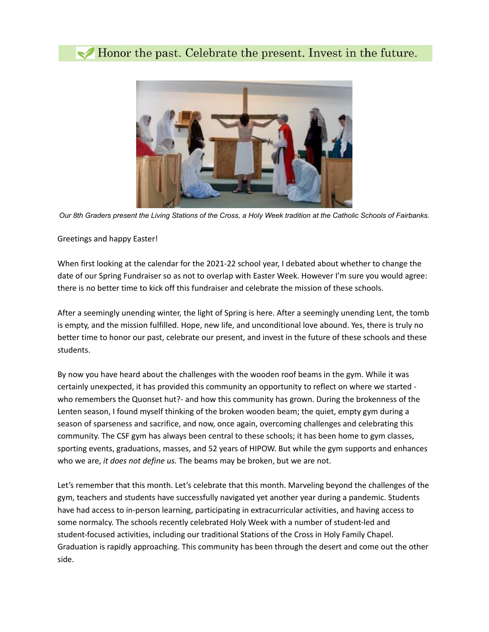## Honor the past. Celebrate the present. Invest in the future.



*Our 8th Graders present the Living Stations of the Cross, a Holy Week tradition at the Catholic Schools of Fairbanks.*

## Greetings and happy Easter!

When first looking at the calendar for the 2021-22 school year, I debated about whether to change the date of our Spring Fundraiser so as not to overlap with Easter Week. However I'm sure you would agree: there is no better time to kick off this fundraiser and celebrate the mission of these schools.

After a seemingly unending winter, the light of Spring is here. After a seemingly unending Lent, the tomb is empty, and the mission fulfilled. Hope, new life, and unconditional love abound. Yes, there is truly no better time to honor our past, celebrate our present, and invest in the future of these schools and these students.

By now you have heard about the challenges with the wooden roof beams in the gym. While it was certainly unexpected, it has provided this community an opportunity to reflect on where we started who remembers the Quonset hut?- and how this community has grown. During the brokenness of the Lenten season, I found myself thinking of the broken wooden beam; the quiet, empty gym during a season of sparseness and sacrifice, and now, once again, overcoming challenges and celebrating this community. The CSF gym has always been central to these schools; it has been home to gym classes, sporting events, graduations, masses, and 52 years of HIPOW. But while the gym supports and enhances who we are, *it does not define us.* The beams may be broken, but we are not.

Let's remember that this month. Let's celebrate that this month. Marveling beyond the challenges of the gym, teachers and students have successfully navigated yet another year during a pandemic. Students have had access to in-person learning, participating in extracurricular activities, and having access to some normalcy. The schools recently celebrated Holy Week with a number of student-led and student-focused activities, including our traditional Stations of the Cross in Holy Family Chapel. Graduation is rapidly approaching. This community has been through the desert and come out the other side.